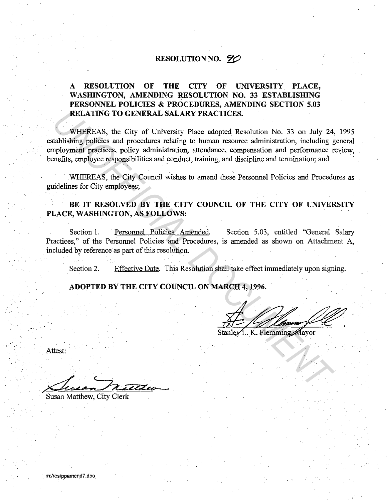# **RESOLUTION NO. 90**

# **A RESOLUTION OF THE CITY OF UNIVERSITY PLACE, WASHINGTON, AMENDING RESOLUTION NO. 33 ESTABLISHING PERSONNEL POLICIES & PROCEDURES, AMENDING SECTION 5.03 RELATING TO GENERAL SALARY PRACTICES.**

WHEREAS, the City of University Place adopted Resolution No. 33 on July 24, 1995 establishing policies and procedures relating to human resource administration, including general employment practices, policy administration, attendance, compensation and performance review, benefits, employee responsibilities and conduct, training, and discipline and termination; and **RELATING TO GENERAL SALARY PRACTICES.**<br>
WHEREAS, the City of University Place adopted Resolution No. 33 on July 24<br>
analysining policies and procedures relating to human resolute commissionton, including<br>
mployment practi

WHEREAS, the City Council wishes to amend these Personnel Policies and Procedures as guidelines for City employees;

## **BE IT RESOLVED BY THE CITY COUNCIL OF THE CITY OF UNIVERSITY PLACE, WASHINGTON, AS FOLLOWS:**

Section I. Personnel Policies Amended. Section 5.03, entitled "General Salary Practices," of the Personnel Policies and Procedures, is amended as shown on Attachment A, included by reference as part of this resolution.

Section 2. Effective Date. This Resolution shall take effect immediately upon signing.

**ADOPTED BY THE CITY COUNCIL ON MARCH 4, 1996.** 

Attest:

. *4* <sup>&</sup>lt;, , ~.; *eZZ'.ee--*

Susan Matthew, City Clerk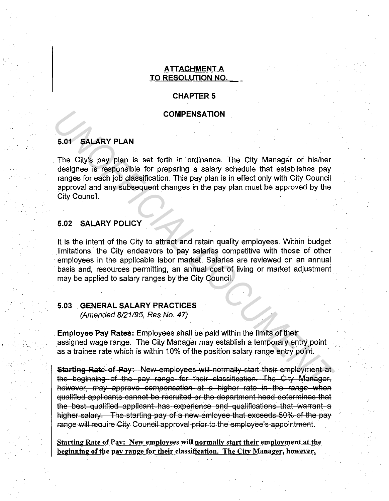### ATTACHMENT A TO RESOLUTION NO.

#### **CHAPTER 5**

#### **COMPENSATION**

#### 5.01 SALARY PLAN

The City's pay plan is set forth in ordinance. The City Manager or his/her designee is responsible for preparing a salary schedule that establishes pay ranges for each job classification. This pay plan is in effect only with City Council approval and any subsequent changes in the pay plan must be approved by the City Council.

## 5.02 SALARY POLICY

i.<br>Eri

It is the intent of the City to attract and retain quality employees. Within budget limitations, the City endeavors to pay salaries competitive with those of other employees in the applicable labor market. Salaries are reviewed on an annual basis and, resources permitting, an annual cost of living or market adjustment may be applied to salary ranges by the City Council. **COMPENSATION**<br> **S.01 SALARY PLAN**<br>
The City's pay plan is set forth in ordinance. The City Manager or his/her designes is responsible for preparing a salary schedule that establishes pay<br>
ranges for each job dats infectio

#### 5.03 GENERAL SALARY PRACTICES

(Amended 8121195, Res No. 47)

Employee Pay Rates: Employees shall be paid within the limits of their assigned wage range. The City Manager may establish a temporary entry point as a trainee rate which is within 10% of the position salary range entry point.

Starting Rate of Pay: New employees will normally start their employment at the beginning of the pay range for their classification. The City Manager, however, may approve compensation at a higher rate in the range when qualified applicants cannot be recruited or the department head determines that the best qualified applicant has experience and qualifications that warrant a higher salary. The starting pay of a new emloyee that exceeds 50% of the pay range will require City Council approval prior to the employee's appointment.

Starting Rate of Pay: New employees will normally start their employment at the beginning of the pay range for their classification. The City Manager. however,